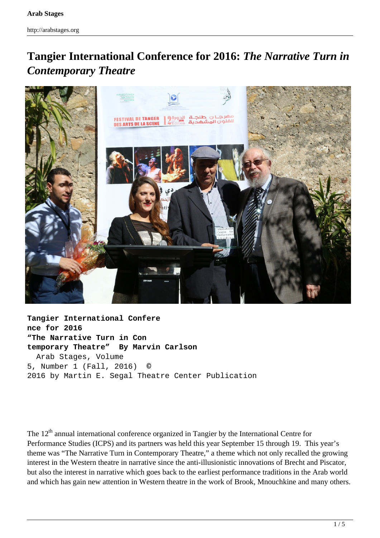# **Tangier International Conference for 2016:** *The Narrative Turn in Contemporary Theatre*



**Tangier International Confere nce for 2016 "The Narrative Turn in Con temporary Theatre" By Marvin Carlson** Arab Stages, Volume 5, Number 1 (Fall, 2016) **©** 2016 by Martin E. Segal Theatre Center Publication

The  $12<sup>th</sup>$  annual international conference organized in Tangier by the International Centre for Performance Studies (ICPS) and its partners was held this year September 15 through 19. This year's theme was "The Narrative Turn in Contemporary Theatre," a theme which not only recalled the growing interest in the Western theatre in narrative since the anti-illusionistic innovations of Brecht and Piscator, but also the interest in narrative which goes back to the earliest performance traditions in the Arab world and which has gain new attention in Western theatre in the work of Brook, Mnouchkine and many others.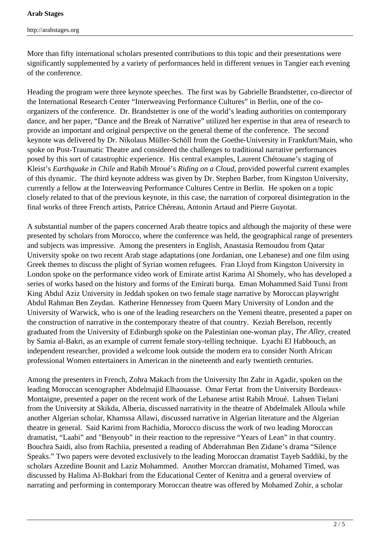More than fifty international scholars presented contributions to this topic and their presentations were significantly supplemented by a variety of performances held in different venues in Tangier each evening of the conference.

Heading the program were three keynote speeches. The first was by Gabrielle Brandstetter, co-director of the International Research Center "Interweaving Performance Cultures" in Berlin, one of the coorganizers of the conference. Dr. Brandstetter is one of the world's leading authorities on contemporary dance, and her paper, "Dance and the Break of Narrative" utilized her expertise in that area of research to provide an important and original perspective on the general theme of the conference. The second keynote was delivered by Dr. Nikolaus Müller-Schöll from the Goethe-University in Frankfurt/Main, who spoke on Post-Traumatic Theatre and considered the challenges to traditional narrative performances posed by this sort of catastrophic experience. His central examples, Laurent Chétouane's staging of Kleist's *Earthquake in Chile* and Rabih Mroué's *Riding on a Cloud,* provided powerful current examples of this dynamic. The third keynote address was given by Dr. Stephen Barber, from Kingston University, currently a fellow at the Interweaving Performance Cultures Centre in Berlin. He spoken on a topic closely related to that of the previous keynote, in this case, the narration of corporeal disintegration in the final works of three French artists, Patrice Chéreau, Antonin Artaud and Pierre Guyotat.

A substantial number of the papers concerned Arab theatre topics and although the majority of these were presented by scholars from Morocco, where the conference was held, the geographical range of presenters and subjects was impressive. Among the presenters in English, Anastasia Remoudou from Qatar University spoke on two recent Arab stage adaptations (one Jordanian, one Lebanese) and one film using Greek themes to discuss the plight of Syrian women refugees. Fran Lloyd from Kingston University in London spoke on the performance video work of Emirate artist Karima Al Shomely, who has developed a series of works based on the history and forms of the Emirati burqa. Eman Mohammed Said Tunsi from King Abdul Aziz University in Jeddah spoken on two female stage narrative by Moroccan playwright Abdul Rahman Ben Zeydan. Katherine Hennessey from Queen Mary University of London and the University of Warwick, who is one of the leading researchers on the Yemeni theatre, presented a paper on the construction of narrative in the contemporary theatre of that country. Keziah Berelson, recently graduated from the University of Edinburgh spoke on the Palestinian one-woman play, *The Alley*, created by Samia al-Bakri, as an example of current female story-telling technique. Lyachi El Habbouch, an independent researcher, provided a welcome look outside the modern era to consider North African professional Women entertainers in American in the nineteenth and early twentieth centuries.

Among the presenters in French, Zohra Makach from the University Ibn Zahr in Agadir, spoken on the leading Moroccan scenographer Abdelmajid Elhaouasse. Omar Fertat from the University Bordeaux-Montaigne, presented a paper on the recent work of the Lebanese artist Rabih Mroué. Lahsen Tielani from the University at Skikda, Alberia, discussed narrativity in the theatre of Abdelmalek Alloula while another Algerian scholar, Khamssa Allawi, discussed narrative in Algerian literature and the Algerian theatre in general. Said Karimi from Rachidia, Morocco discuss the work of two leading Moroccan dramatist, "Laabi" and "Benyoub" in their reaction to the repressive "Years of Lean" in that country. Bouchra Saidi, also from Rachiia, presented a reading of Abderrahman Ben Zidane's drama "Silence Speaks." Two papers were devoted exclusively to the leading Moroccan dramatist Tayeb Saddiki, by the scholars Azzedine Bounit and Laziz Mohammed. Another Morccan dramatist, Mohamed Timed, was discussed by Halima Al-Bukhari from the Educational Center of Kenitra and a general overview of narrating and performing in contemporary Moroccan theatre was offered by Mohamed Zohir, a scholar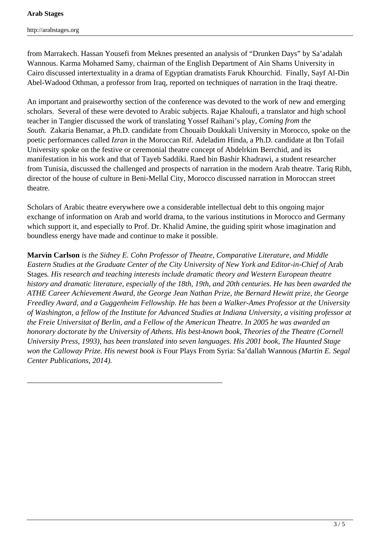from Marrakech. Hassan Yousefi from Meknes presented an analysis of "Drunken Days" by Sa'adalah Wannous. Karma Mohamed Samy, chairman of the English Department of Ain Shams University in Cairo discussed intertextuality in a drama of Egyptian dramatists Faruk Khourchid. Finally, Sayf Al-Din Abel-Wadood Othman, a professor from Iraq, reported on techniques of narration in the Iraqi theatre.

An important and praiseworthy section of the conference was devoted to the work of new and emerging scholars. Several of these were devoted to Arabic subjects. Rajae Khaloufi, a translator and high school teacher in Tangier discussed the work of translating Yossef Raihani's play, *Coming from the South.* Zakaria Benamar, a Ph.D. candidate from Chouaib Doukkali University in Morocco, spoke on the poetic performances called *Izran* in the Moroccan Rif. Adeladim Hinda, a Ph.D. candidate at Ibn Tofail University spoke on the festive or ceremonial theatre concept of Abdelrkim Berrchid, and its manifestation in his work and that of Tayeb Saddiki. Raed bin Bashir Khadrawi, a student researcher from Tunisia, discussed the challenged and prospects of narration in the modern Arab theatre. Tariq Ribh, director of the house of culture in Beni-Mellal City, Morocco discussed narration in Moroccan street theatre.

Scholars of Arabic theatre everywhere owe a considerable intellectual debt to this ongoing major exchange of information on Arab and world drama, to the various institutions in Morocco and Germany which support it, and especially to Prof. Dr. Khalid Amine, the guiding spirit whose imagination and boundless energy have made and continue to make it possible.

**Marvin Carlson** *is the Sidney E. Cohn Professor of Theatre, Comparative Literature, and Middle Eastern Studies at the Graduate Center of the City University of New York and Editor-in-Chief of* Arab Stages*. His research and teaching interests include dramatic theory and Western European theatre history and dramatic literature, especially of the 18th, 19th, and 20th centuries. He has been awarded the ATHE Career Achievement Award, the George Jean Nathan Prize, the Bernard Hewitt prize, the George Freedley Award, and a Guggenheim Fellowship. He has been a Walker-Ames Professor at the University of Washington, a fellow of the Institute for Advanced Studies at Indiana University, a visiting professor at the Freie Universitat of Berlin, and a Fellow of the American Theatre. In 2005 he was awarded an honorary doctorate by the University of Athens. His best-known book, Theories of the Theatre (Cornell University Press, 1993), has been translated into seven languages. His 2001 book, The Haunted Stage won the Calloway Prize. His newest book is* Four Plays From Syria: Sa'dallah Wannous *(Martin E. Segal Center Publications, 2014).*

\_\_\_\_\_\_\_\_\_\_\_\_\_\_\_\_\_\_\_\_\_\_\_\_\_\_\_\_\_\_\_\_\_\_\_\_\_\_\_\_\_\_\_\_\_\_\_\_\_\_\_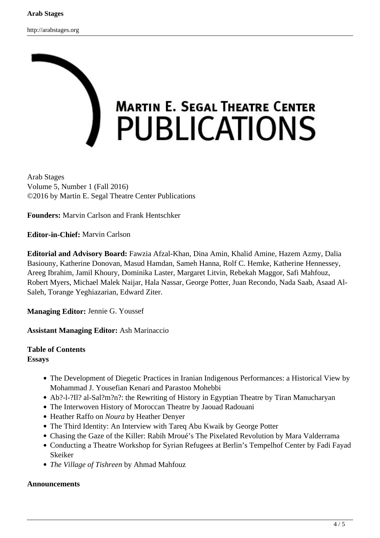

Arab Stages Volume 5, Number 1 (Fall 2016) ©2016 by Martin E. Segal Theatre Center Publications

**Founders:** Marvin Carlson and Frank Hentschker

**Editor-in-Chief:** Marvin Carlson

**Editorial and Advisory Board:** Fawzia Afzal-Khan, Dina Amin, Khalid Amine, Hazem Azmy, Dalia Basiouny, Katherine Donovan, Masud Hamdan, Sameh Hanna, Rolf C. Hemke, Katherine Hennessey, Areeg Ibrahim, Jamil Khoury, Dominika Laster, Margaret Litvin, Rebekah Maggor, Safi Mahfouz, Robert Myers, Michael Malek Naijar, Hala Nassar, George Potter, Juan Recondo, Nada Saab, Asaad Al-Saleh, Torange Yeghiazarian, Edward Ziter.

**Managing Editor:** Jennie G. Youssef

**Assistant Managing Editor:** Ash Marinaccio

## **Table of Contents**

#### **Essays**

- The Development of Diegetic Practices in Iranian Indigenous Performances: a Historical View by Mohammad J. Yousefian Kenari and Parastoo Mohebbi
- Ab?-l-?Il? al-Sal?m?n?: the Rewriting of History in Egyptian Theatre by Tiran Manucharyan
- The Interwoven History of Moroccan Theatre by Jaouad Radouani
- Heather Raffo on *Noura* by Heather Denyer
- The Third Identity: An Interview with Tareq Abu Kwaik by George Potter
- Chasing the Gaze of the Killer: Rabih Mroué's The Pixelated Revolution by Mara Valderrama
- Conducting a Theatre Workshop for Syrian Refugees at Berlin's Tempelhof Center by Fadi Fayad Skeiker
- *The Village of Tishreen* by Ahmad Mahfouz

### **Announcements**